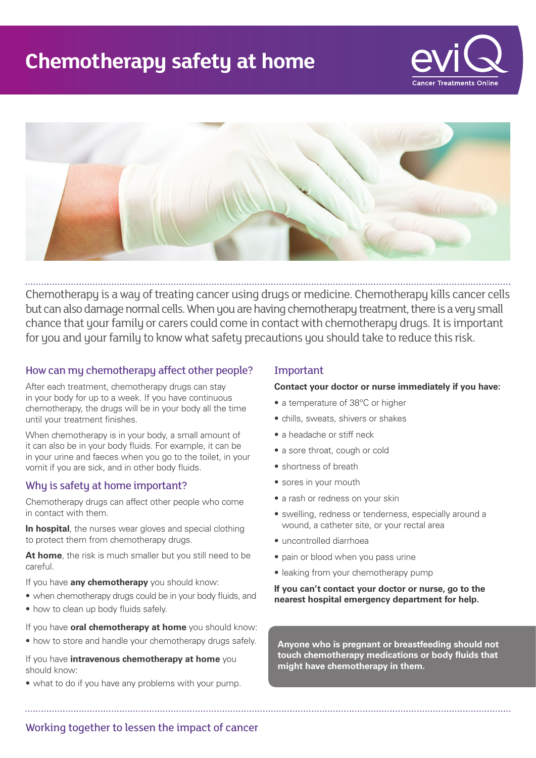# **Chemotherapy safety at home**





Chemotherapy is a way of treating cancer using drugs or medicine. Chemotherapy kills cancer cells but can also damage normal cells. When you are having chemotherapy treatment, there is a very small chance that your family or carers could come in contact with chemotherapy drugs. It is important for you and your family to know what safety precautions you should take to reduce this risk.

# How can my chemotherapy affect other people?

After each treatment, chemotherapy drugs can stay in your body for up to a week. If you have continuous chemotherapy, the drugs will be in your body all the time until your treatment finishes.

When chemotherapy is in your body, a small amount of it can also be in your body fluids. For example, it can be in your urine and faeces when you go to the toilet, in your vomit if you are sick, and in other body fluids.

# Why is safety at home important?

Chemotherapy drugs can affect other people who come in contact with them.

**In hospital**, the nurses wear gloves and special clothing to protect them from chemotherapy drugs.

**At home**, the risk is much smaller but you still need to be careful.

If you have **any chemotherapy** you should know:

- when chemotherapy drugs could be in your body fluids, and
- how to clean up body fluids safely.

If you have **oral chemotherapy at home** you should know:

• how to store and handle your chemotherapy drugs safely.

If you have **intravenous chemotherapy at home** you should know:

• what to do if you have any problems with your pump.

# Important

**Contact your doctor or nurse immediately if you have:**

- a temperature of 38°C or higher
- chills, sweats, shivers or shakes
- a headache or stiff neck
- a sore throat, cough or cold
- shortness of breath
- sores in your mouth
- a rash or redness on your skin
- swelling, redness or tenderness, especially around a wound, a catheter site, or your rectal area
- uncontrolled diarrhoea
- pain or blood when you pass urine
- leaking from your chemotherapy pump

**If you can't contact your doctor or nurse, go to the nearest hospital emergency department for help.**

**Anyone who is pregnant or breastfeeding should not touch chemotherapy medications or body fluids that might have chemotherapy in them.**

Working together to lessen the impact of cancer